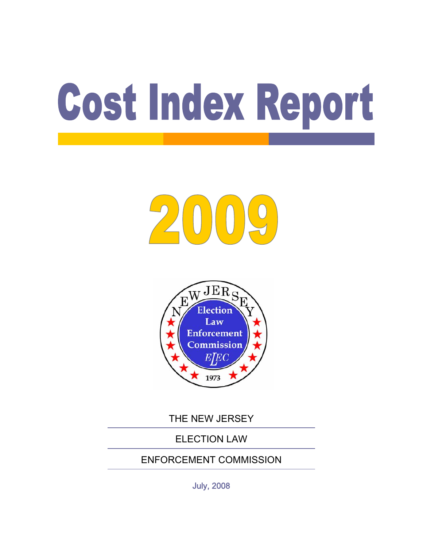# Cost Index Report

# 200



THE NEW JERSEY

### ELECTION LAW

### ENFORCEMENT COMMISSION

July, 2008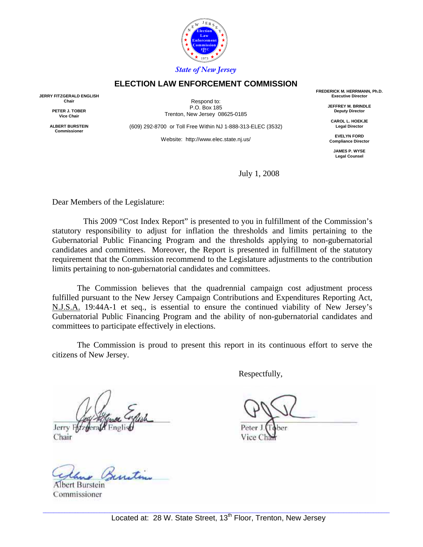

#### **ELECTION LAW ENFORCEMENT COMMISSION**

**JERRY FITZGERALD ENGLISH Chair** 

> **PETER J. TOBER Vice Chair**

**ALBERT BURSTEIN Commissioner** 

Respond to: P.O. Box 185 Trenton, New Jersey 08625-0185

(609) 292-8700 or Toll Free Within NJ 1-888-313-ELEC (3532)

Website: http://www.elec.state.nj.us/

**FREDERICK M. HERRMANN, Ph.D. Executive Director** 

> **JEFFREY M. BRINDLE Deputy Director**

**CAROL L. HOEKJE Legal Director** 

**EVELYN FORD Compliance Director** 

**JAMES P. WYSE Legal Counsel** 

July 1, 2008

Dear Members of the Legislature:

 This 2009 "Cost Index Report" is presented to you in fulfillment of the Commission's statutory responsibility to adjust for inflation the thresholds and limits pertaining to the Gubernatorial Public Financing Program and the thresholds applying to non-gubernatorial candidates and committees. Moreover, the Report is presented in fulfillment of the statutory requirement that the Commission recommend to the Legislature adjustments to the contribution limits pertaining to non-gubernatorial candidates and committees.

 The Commission believes that the quadrennial campaign cost adjustment process fulfilled pursuant to the New Jersey Campaign Contributions and Expenditures Reporting Act, N.J.S.A. 19:44A-1 et seq., is essential to ensure the continued viability of New Jersey's Gubernatorial Public Financing Program and the ability of non-gubernatorial candidates and committees to participate effectively in elections.

 The Commission is proud to present this report in its continuous effort to serve the citizens of New Jersey.

Jerry F

Chair

Albert Burstein Commissioner

Respectfully,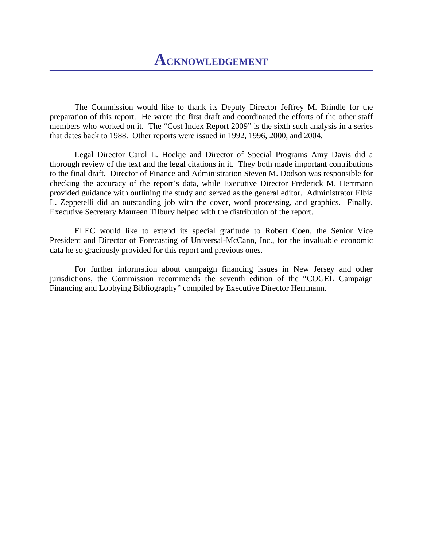The Commission would like to thank its Deputy Director Jeffrey M. Brindle for the preparation of this report. He wrote the first draft and coordinated the efforts of the other staff members who worked on it. The "Cost Index Report 2009" is the sixth such analysis in a series that dates back to 1988. Other reports were issued in 1992, 1996, 2000, and 2004.

 Legal Director Carol L. Hoekje and Director of Special Programs Amy Davis did a thorough review of the text and the legal citations in it. They both made important contributions to the final draft. Director of Finance and Administration Steven M. Dodson was responsible for checking the accuracy of the report's data, while Executive Director Frederick M. Herrmann provided guidance with outlining the study and served as the general editor. Administrator Elbia L. Zeppetelli did an outstanding job with the cover, word processing, and graphics. Finally, Executive Secretary Maureen Tilbury helped with the distribution of the report.

 ELEC would like to extend its special gratitude to Robert Coen, the Senior Vice President and Director of Forecasting of Universal-McCann, Inc., for the invaluable economic data he so graciously provided for this report and previous ones.

 For further information about campaign financing issues in New Jersey and other jurisdictions, the Commission recommends the seventh edition of the "COGEL Campaign Financing and Lobbying Bibliography" compiled by Executive Director Herrmann.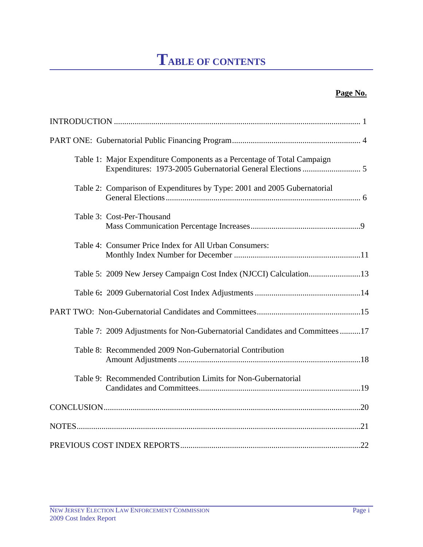# **TABLE OF CONTENTS**

#### **Page No.**

| Table 1: Major Expenditure Components as a Percentage of Total Campaign      |  |
|------------------------------------------------------------------------------|--|
| Table 2: Comparison of Expenditures by Type: 2001 and 2005 Gubernatorial     |  |
| Table 3: Cost-Per-Thousand                                                   |  |
| Table 4: Consumer Price Index for All Urban Consumers:                       |  |
| Table 5: 2009 New Jersey Campaign Cost Index (NJCCI) Calculation13           |  |
|                                                                              |  |
|                                                                              |  |
| Table 7: 2009 Adjustments for Non-Gubernatorial Candidates and Committees 17 |  |
| Table 8: Recommended 2009 Non-Gubernatorial Contribution                     |  |
| Table 9: Recommended Contribution Limits for Non-Gubernatorial               |  |
|                                                                              |  |
|                                                                              |  |
|                                                                              |  |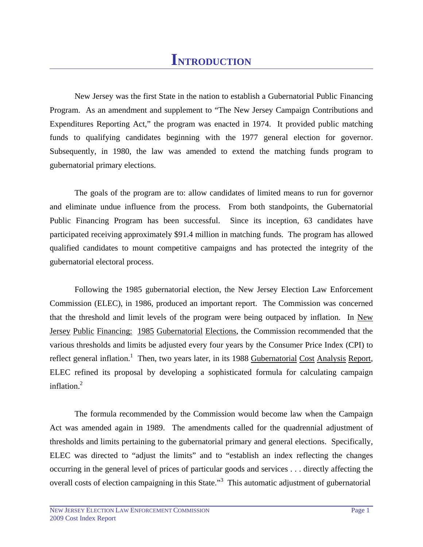# **INTRODUCTION**

 New Jersey was the first State in the nation to establish a Gubernatorial Public Financing Program. As an amendment and supplement to "The New Jersey Campaign Contributions and Expenditures Reporting Act," the program was enacted in 1974. It provided public matching funds to qualifying candidates beginning with the 1977 general election for governor. Subsequently, in 1980, the law was amended to extend the matching funds program to gubernatorial primary elections.

 The goals of the program are to: allow candidates of limited means to run for governor and eliminate undue influence from the process. From both standpoints, the Gubernatorial Public Financing Program has been successful. Since its inception, 63 candidates have participated receiving approximately \$91.4 million in matching funds. The program has allowed qualified candidates to mount competitive campaigns and has protected the integrity of the gubernatorial electoral process.

 Following the 1985 gubernatorial election, the New Jersey Election Law Enforcement Commission (ELEC), in 1986, produced an important report. The Commission was concerned that the threshold and limit levels of the program were being outpaced by inflation. In New Jersey Public Financing: 1985 Gubernatorial Elections, the Commission recommended that the various thresholds and limits be adjusted every four years by the Consumer Price Index (CPI) to reflect general inflation.<sup>1</sup> Then, two years later, in its 1988 Gubernatorial Cost Analysis Report, ELEC refined its proposal by developing a sophisticated formula for calculating campaign inflation.<sup>2</sup>

 The formula recommended by the Commission would become law when the Campaign Act was amended again in 1989. The amendments called for the quadrennial adjustment of thresholds and limits pertaining to the gubernatorial primary and general elections. Specifically, ELEC was directed to "adjust the limits" and to "establish an index reflecting the changes occurring in the general level of prices of particular goods and services . . . directly affecting the overall costs of election campaigning in this State."<sup>3</sup> This automatic adjustment of gubernatorial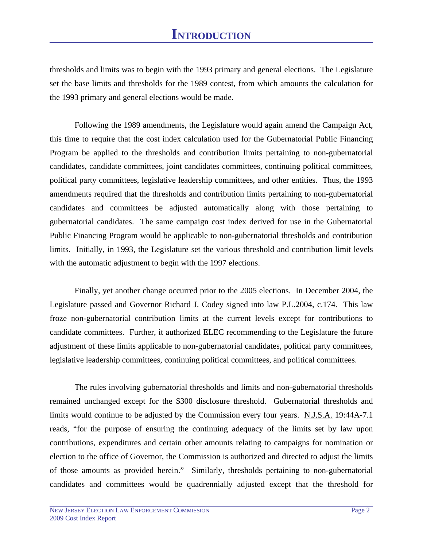thresholds and limits was to begin with the 1993 primary and general elections. The Legislature set the base limits and thresholds for the 1989 contest, from which amounts the calculation for the 1993 primary and general elections would be made.

 Following the 1989 amendments, the Legislature would again amend the Campaign Act, this time to require that the cost index calculation used for the Gubernatorial Public Financing Program be applied to the thresholds and contribution limits pertaining to non-gubernatorial candidates, candidate committees, joint candidates committees, continuing political committees, political party committees, legislative leadership committees, and other entities. Thus, the 1993 amendments required that the thresholds and contribution limits pertaining to non-gubernatorial candidates and committees be adjusted automatically along with those pertaining to gubernatorial candidates. The same campaign cost index derived for use in the Gubernatorial Public Financing Program would be applicable to non-gubernatorial thresholds and contribution limits. Initially, in 1993, the Legislature set the various threshold and contribution limit levels with the automatic adjustment to begin with the 1997 elections.

 Finally, yet another change occurred prior to the 2005 elections. In December 2004, the Legislature passed and Governor Richard J. Codey signed into law P.L.2004, c.174. This law froze non-gubernatorial contribution limits at the current levels except for contributions to candidate committees. Further, it authorized ELEC recommending to the Legislature the future adjustment of these limits applicable to non-gubernatorial candidates, political party committees, legislative leadership committees, continuing political committees, and political committees.

 The rules involving gubernatorial thresholds and limits and non-gubernatorial thresholds remained unchanged except for the \$300 disclosure threshold. Gubernatorial thresholds and limits would continue to be adjusted by the Commission every four years. N.J.S.A. 19:44A-7.1 reads, "for the purpose of ensuring the continuing adequacy of the limits set by law upon contributions, expenditures and certain other amounts relating to campaigns for nomination or election to the office of Governor, the Commission is authorized and directed to adjust the limits of those amounts as provided herein." Similarly, thresholds pertaining to non-gubernatorial candidates and committees would be quadrennially adjusted except that the threshold for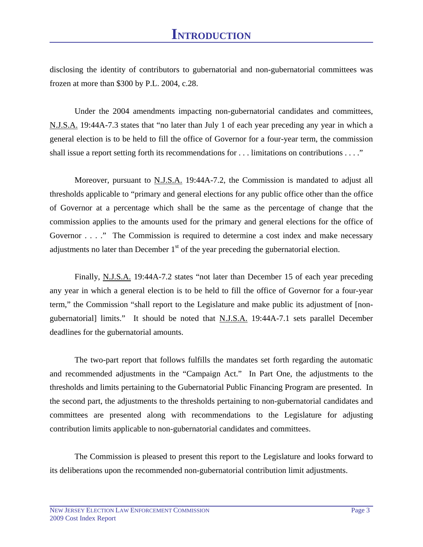disclosing the identity of contributors to gubernatorial and non-gubernatorial committees was frozen at more than \$300 by P.L. 2004, c.28.

 Under the 2004 amendments impacting non-gubernatorial candidates and committees, N.J.S.A. 19:44A-7.3 states that "no later than July 1 of each year preceding any year in which a general election is to be held to fill the office of Governor for a four-year term, the commission shall issue a report setting forth its recommendations for . . . limitations on contributions . . . ."

 Moreover, pursuant to N.J.S.A. 19:44A-7.2, the Commission is mandated to adjust all thresholds applicable to "primary and general elections for any public office other than the office of Governor at a percentage which shall be the same as the percentage of change that the commission applies to the amounts used for the primary and general elections for the office of Governor . . . ." The Commission is required to determine a cost index and make necessary adjustments no later than December  $1<sup>st</sup>$  of the year preceding the gubernatorial election.

 Finally, N.J.S.A. 19:44A-7.2 states "not later than December 15 of each year preceding any year in which a general election is to be held to fill the office of Governor for a four-year term," the Commission "shall report to the Legislature and make public its adjustment of [nongubernatorial] limits." It should be noted that N.J.S.A. 19:44A-7.1 sets parallel December deadlines for the gubernatorial amounts.

 The two-part report that follows fulfills the mandates set forth regarding the automatic and recommended adjustments in the "Campaign Act." In Part One, the adjustments to the thresholds and limits pertaining to the Gubernatorial Public Financing Program are presented. In the second part, the adjustments to the thresholds pertaining to non-gubernatorial candidates and committees are presented along with recommendations to the Legislature for adjusting contribution limits applicable to non-gubernatorial candidates and committees.

 The Commission is pleased to present this report to the Legislature and looks forward to its deliberations upon the recommended non-gubernatorial contribution limit adjustments.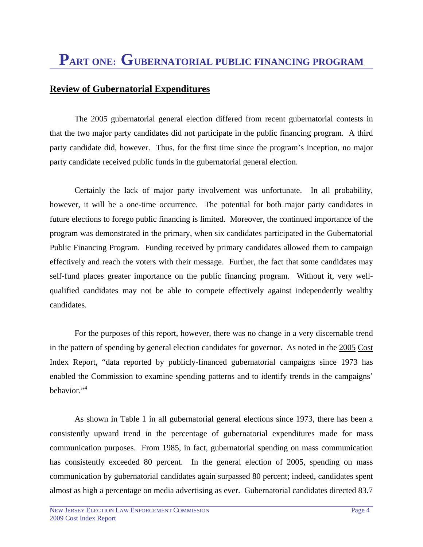#### **Review of Gubernatorial Expenditures**

 The 2005 gubernatorial general election differed from recent gubernatorial contests in that the two major party candidates did not participate in the public financing program. A third party candidate did, however. Thus, for the first time since the program's inception, no major party candidate received public funds in the gubernatorial general election.

 Certainly the lack of major party involvement was unfortunate. In all probability, however, it will be a one-time occurrence. The potential for both major party candidates in future elections to forego public financing is limited. Moreover, the continued importance of the program was demonstrated in the primary, when six candidates participated in the Gubernatorial Public Financing Program. Funding received by primary candidates allowed them to campaign effectively and reach the voters with their message. Further, the fact that some candidates may self-fund places greater importance on the public financing program. Without it, very wellqualified candidates may not be able to compete effectively against independently wealthy candidates.

 For the purposes of this report, however, there was no change in a very discernable trend in the pattern of spending by general election candidates for governor. As noted in the 2005 Cost Index Report, "data reported by publicly-financed gubernatorial campaigns since 1973 has enabled the Commission to examine spending patterns and to identify trends in the campaigns' behavior." $4$ 

 As shown in Table 1 in all gubernatorial general elections since 1973, there has been a consistently upward trend in the percentage of gubernatorial expenditures made for mass communication purposes. From 1985, in fact, gubernatorial spending on mass communication has consistently exceeded 80 percent. In the general election of 2005, spending on mass communication by gubernatorial candidates again surpassed 80 percent; indeed, candidates spent almost as high a percentage on media advertising as ever. Gubernatorial candidates directed 83.7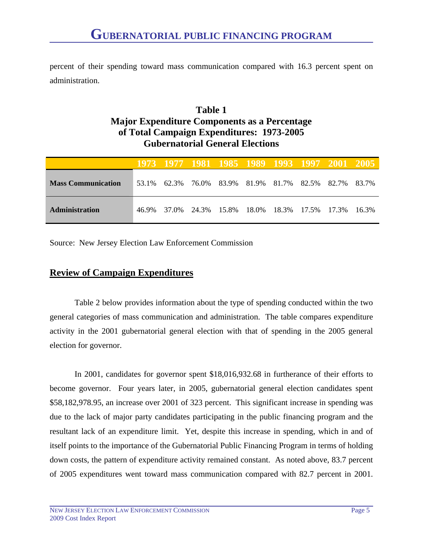percent of their spending toward mass communication compared with 16.3 percent spent on administration.

#### **Table 1 Major Expenditure Components as a Percentage of Total Campaign Expenditures: 1973-2005 Gubernatorial General Elections**

|                           |       |       | 1973 1977 1981 1985 1989 1993 1997 2001 2005 |  |  |        |
|---------------------------|-------|-------|----------------------------------------------|--|--|--------|
| <b>Mass Communication</b> | 53.1% | 62.3% | 76.0% 83.9% 81.9% 81.7% 82.5% 82.7% 83.7%    |  |  |        |
| Administration            | 46.9% | 37.0% | 24.3% 15.8% 18.0% 18.3% 17.5% 17.3%          |  |  | -16.3% |

Source: New Jersey Election Law Enforcement Commission

#### **Review of Campaign Expenditures**

 Table 2 below provides information about the type of spending conducted within the two general categories of mass communication and administration. The table compares expenditure activity in the 2001 gubernatorial general election with that of spending in the 2005 general election for governor.

 In 2001, candidates for governor spent \$18,016,932.68 in furtherance of their efforts to become governor. Four years later, in 2005, gubernatorial general election candidates spent \$58,182,978.95, an increase over 2001 of 323 percent. This significant increase in spending was due to the lack of major party candidates participating in the public financing program and the resultant lack of an expenditure limit. Yet, despite this increase in spending, which in and of itself points to the importance of the Gubernatorial Public Financing Program in terms of holding down costs, the pattern of expenditure activity remained constant. As noted above, 83.7 percent of 2005 expenditures went toward mass communication compared with 82.7 percent in 2001.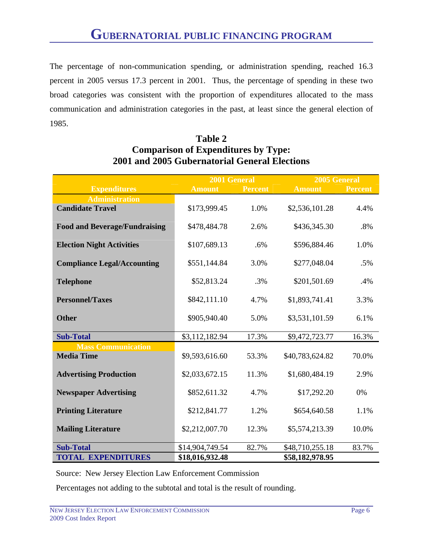The percentage of non-communication spending, or administration spending, reached 16.3 percent in 2005 versus 17.3 percent in 2001. Thus, the percentage of spending in these two broad categories was consistent with the proportion of expenditures allocated to the mass communication and administration categories in the past, at least since the general election of 1985.

|                                      |                 | 2001 General<br>2005 General |                 |                |
|--------------------------------------|-----------------|------------------------------|-----------------|----------------|
| <b>Expenditures</b>                  | <b>Amount</b>   | <b>Percent</b>               | <b>Amount</b>   | <b>Percent</b> |
| <b>Administration</b>                |                 |                              |                 |                |
| <b>Candidate Travel</b>              | \$173,999.45    | 1.0%                         | \$2,536,101.28  | 4.4%           |
| <b>Food and Beverage/Fundraising</b> | \$478,484.78    | 2.6%                         | \$436,345.30    | .8%            |
| <b>Election Night Activities</b>     | \$107,689.13    | .6%                          | \$596,884.46    | 1.0%           |
| <b>Compliance Legal/Accounting</b>   | \$551,144.84    | 3.0%                         | \$277,048.04    | .5%            |
| <b>Telephone</b>                     | \$52,813.24     | .3%                          | \$201,501.69    | .4%            |
| <b>Personnel/Taxes</b>               | \$842,111.10    | 4.7%                         | \$1,893,741.41  | 3.3%           |
| <b>Other</b>                         | \$905,940.40    | 5.0%                         | \$3,531,101.59  | 6.1%           |
| <b>Sub-Total</b>                     | \$3,112,182.94  | 17.3%                        | \$9,472,723.77  | 16.3%          |
| <b>Mass Communication</b>            |                 |                              |                 |                |
| <b>Media Time</b>                    | \$9,593,616.60  | 53.3%                        | \$40,783,624.82 | 70.0%          |
| <b>Advertising Production</b>        | \$2,033,672.15  | 11.3%                        | \$1,680,484.19  | 2.9%           |
| <b>Newspaper Advertising</b>         | \$852,611.32    | 4.7%                         | \$17,292.20     | 0%             |
| <b>Printing Literature</b>           | \$212,841.77    | 1.2%                         | \$654,640.58    | 1.1%           |
| <b>Mailing Literature</b>            | \$2,212,007.70  | 12.3%                        | \$5,574,213.39  | 10.0%          |
| <b>Sub-Total</b>                     | \$14,904,749.54 | 82.7%                        | \$48,710,255.18 | 83.7%          |
| <b>TOTAL EXPENDITURES</b>            | \$18,016,932.48 |                              | \$58,182,978.95 |                |

#### **Table 2 Comparison of Expenditures by Type: 2001 and 2005 Gubernatorial General Elections**

Source: New Jersey Election Law Enforcement Commission

Percentages not adding to the subtotal and total is the result of rounding.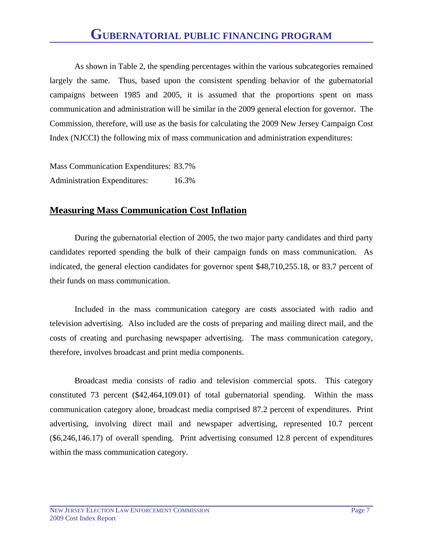# **GUBERNATORIAL PUBLIC FINANCING PROGRAM**

 As shown in Table 2, the spending percentages within the various subcategories remained largely the same. Thus, based upon the consistent spending behavior of the gubernatorial campaigns between 1985 and 2005, it is assumed that the proportions spent on mass communication and administration will be similar in the 2009 general election for governor. The Commission, therefore, will use as the basis for calculating the 2009 New Jersey Campaign Cost Index (NJCCI) the following mix of mass communication and administration expenditures:

Mass Communication Expenditures: 83.7% Administration Expenditures: 16.3%

#### **Measuring Mass Communication Cost Inflation**

 During the gubernatorial election of 2005, the two major party candidates and third party candidates reported spending the bulk of their campaign funds on mass communication. As indicated, the general election candidates for governor spent \$48,710,255.18, or 83.7 percent of their funds on mass communication.

 Included in the mass communication category are costs associated with radio and television advertising. Also included are the costs of preparing and mailing direct mail, and the costs of creating and purchasing newspaper advertising. The mass communication category, therefore, involves broadcast and print media components.

 Broadcast media consists of radio and television commercial spots. This category constituted 73 percent (\$42,464,109.01) of total gubernatorial spending. Within the mass communication category alone, broadcast media comprised 87.2 percent of expenditures. Print advertising, involving direct mail and newspaper advertising, represented 10.7 percent (\$6,246,146.17) of overall spending. Print advertising consumed 12.8 percent of expenditures within the mass communication category.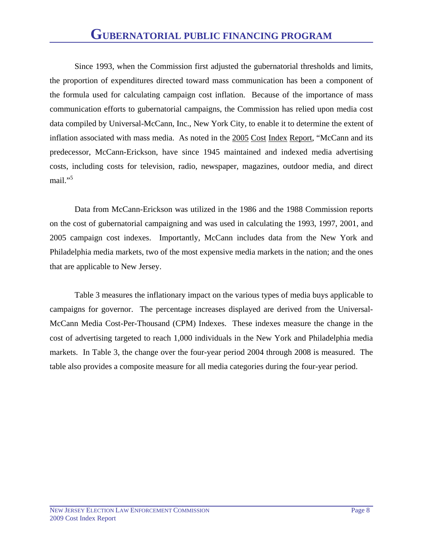Since 1993, when the Commission first adjusted the gubernatorial thresholds and limits, the proportion of expenditures directed toward mass communication has been a component of the formula used for calculating campaign cost inflation. Because of the importance of mass communication efforts to gubernatorial campaigns, the Commission has relied upon media cost data compiled by Universal-McCann, Inc., New York City, to enable it to determine the extent of inflation associated with mass media. As noted in the 2005 Cost Index Report, "McCann and its predecessor, McCann-Erickson, have since 1945 maintained and indexed media advertising costs, including costs for television, radio, newspaper, magazines, outdoor media, and direct mail."<sup>5</sup>

 Data from McCann-Erickson was utilized in the 1986 and the 1988 Commission reports on the cost of gubernatorial campaigning and was used in calculating the 1993, 1997, 2001, and 2005 campaign cost indexes. Importantly, McCann includes data from the New York and Philadelphia media markets, two of the most expensive media markets in the nation; and the ones that are applicable to New Jersey.

 Table 3 measures the inflationary impact on the various types of media buys applicable to campaigns for governor. The percentage increases displayed are derived from the Universal-McCann Media Cost-Per-Thousand (CPM) Indexes. These indexes measure the change in the cost of advertising targeted to reach 1,000 individuals in the New York and Philadelphia media markets. In Table 3, the change over the four-year period 2004 through 2008 is measured. The table also provides a composite measure for all media categories during the four-year period.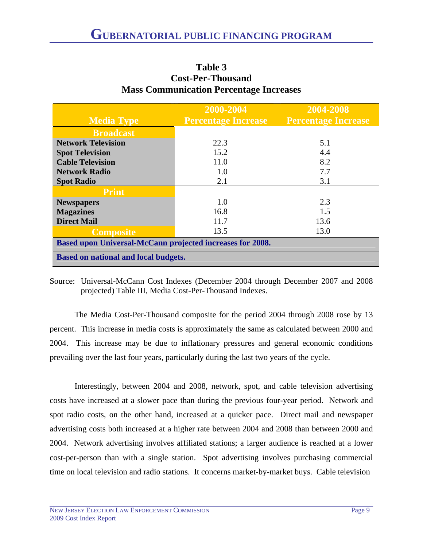|                                                           | 2000-2004                  | 2004-2008                  |  |  |
|-----------------------------------------------------------|----------------------------|----------------------------|--|--|
| <b>Media Type</b>                                         | <b>Percentage Increase</b> | <b>Percentage Increase</b> |  |  |
| <b>Broadcast</b>                                          |                            |                            |  |  |
| <b>Network Television</b>                                 | 22.3                       | 5.1                        |  |  |
| <b>Spot Television</b>                                    | 15.2                       | 4.4                        |  |  |
| <b>Cable Television</b>                                   | 11.0                       | 8.2                        |  |  |
| <b>Network Radio</b>                                      | 1.0                        | 7.7                        |  |  |
| <b>Spot Radio</b>                                         | 2.1                        | 3.1                        |  |  |
| <b>Print</b>                                              |                            |                            |  |  |
| <b>Newspapers</b>                                         | 1.0                        | 2.3                        |  |  |
| <b>Magazines</b>                                          | 16.8                       | 1.5                        |  |  |
| <b>Direct Mail</b>                                        | 11.7                       | 13.6                       |  |  |
| <b>Composite</b>                                          | 13.5                       | 13.0                       |  |  |
| Based upon Universal-McCann projected increases for 2008. |                            |                            |  |  |
| <b>Based on national and local budgets.</b>               |                            |                            |  |  |

#### **Table 3 Cost-Per-Thousand Mass Communication Percentage Increases**

Source: Universal-McCann Cost Indexes (December 2004 through December 2007 and 2008 projected) Table III, Media Cost-Per-Thousand Indexes.

 The Media Cost-Per-Thousand composite for the period 2004 through 2008 rose by 13 percent. This increase in media costs is approximately the same as calculated between 2000 and 2004. This increase may be due to inflationary pressures and general economic conditions prevailing over the last four years, particularly during the last two years of the cycle.

 Interestingly, between 2004 and 2008, network, spot, and cable television advertising costs have increased at a slower pace than during the previous four-year period. Network and spot radio costs, on the other hand, increased at a quicker pace. Direct mail and newspaper advertising costs both increased at a higher rate between 2004 and 2008 than between 2000 and 2004. Network advertising involves affiliated stations; a larger audience is reached at a lower cost-per-person than with a single station. Spot advertising involves purchasing commercial time on local television and radio stations. It concerns market-by-market buys. Cable television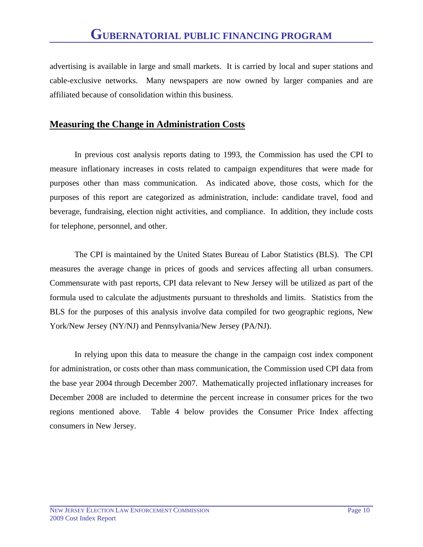advertising is available in large and small markets. It is carried by local and super stations and cable-exclusive networks. Many newspapers are now owned by larger companies and are affiliated because of consolidation within this business.

#### **Measuring the Change in Administration Costs**

 In previous cost analysis reports dating to 1993, the Commission has used the CPI to measure inflationary increases in costs related to campaign expenditures that were made for purposes other than mass communication. As indicated above, those costs, which for the purposes of this report are categorized as administration, include: candidate travel, food and beverage, fundraising, election night activities, and compliance. In addition, they include costs for telephone, personnel, and other.

 The CPI is maintained by the United States Bureau of Labor Statistics (BLS). The CPI measures the average change in prices of goods and services affecting all urban consumers. Commensurate with past reports, CPI data relevant to New Jersey will be utilized as part of the formula used to calculate the adjustments pursuant to thresholds and limits. Statistics from the BLS for the purposes of this analysis involve data compiled for two geographic regions, New York/New Jersey (NY/NJ) and Pennsylvania/New Jersey (PA/NJ).

 In relying upon this data to measure the change in the campaign cost index component for administration, or costs other than mass communication, the Commission used CPI data from the base year 2004 through December 2007. Mathematically projected inflationary increases for December 2008 are included to determine the percent increase in consumer prices for the two regions mentioned above. Table 4 below provides the Consumer Price Index affecting consumers in New Jersey.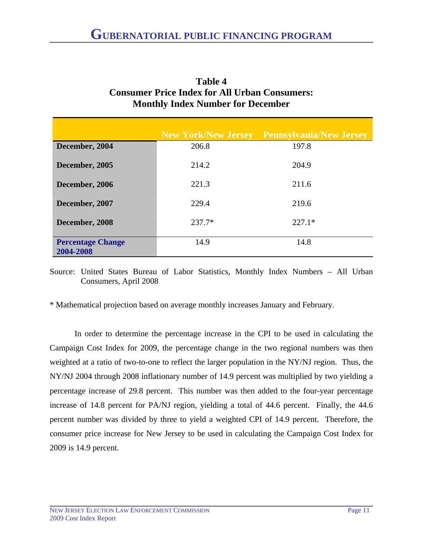|                                       | <b>New York/New Jersey</b> | <b>Pennsylvania/New Jersey</b> |
|---------------------------------------|----------------------------|--------------------------------|
| December, 2004                        | 206.8                      | 197.8                          |
| December, 2005                        | 214.2                      | 204.9                          |
| December, 2006                        | 221.3                      | 211.6                          |
| December, 2007                        | 229.4                      | 219.6                          |
| December, 2008                        | $237.7*$                   | $227.1*$                       |
| <b>Percentage Change</b><br>2004-2008 | 14.9                       | 14.8                           |

| Table 4                                              |
|------------------------------------------------------|
| <b>Consumer Price Index for All Urban Consumers:</b> |
| <b>Monthly Index Number for December</b>             |

**Table 4** 

Source: United States Bureau of Labor Statistics, Monthly Index Numbers – All Urban Consumers, April 2008

\* Mathematical projection based on average monthly increases January and February.

 In order to determine the percentage increase in the CPI to be used in calculating the Campaign Cost Index for 2009, the percentage change in the two regional numbers was then weighted at a ratio of two-to-one to reflect the larger population in the NY/NJ region. Thus, the NY/NJ 2004 through 2008 inflationary number of 14.9 percent was multiplied by two yielding a percentage increase of 29.8 percent. This number was then added to the four-year percentage increase of 14.8 percent for PA/NJ region, yielding a total of 44.6 percent. Finally, the 44.6 percent number was divided by three to yield a weighted CPI of 14.9 percent. Therefore, the consumer price increase for New Jersey to be used in calculating the Campaign Cost Index for 2009 is 14.9 percent.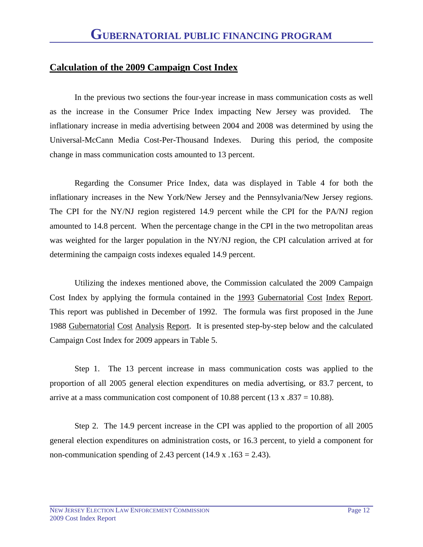#### **Calculation of the 2009 Campaign Cost Index**

 In the previous two sections the four-year increase in mass communication costs as well as the increase in the Consumer Price Index impacting New Jersey was provided. The inflationary increase in media advertising between 2004 and 2008 was determined by using the Universal-McCann Media Cost-Per-Thousand Indexes. During this period, the composite change in mass communication costs amounted to 13 percent.

 Regarding the Consumer Price Index, data was displayed in Table 4 for both the inflationary increases in the New York/New Jersey and the Pennsylvania/New Jersey regions. The CPI for the NY/NJ region registered 14.9 percent while the CPI for the PA/NJ region amounted to 14.8 percent. When the percentage change in the CPI in the two metropolitan areas was weighted for the larger population in the NY/NJ region, the CPI calculation arrived at for determining the campaign costs indexes equaled 14.9 percent.

 Utilizing the indexes mentioned above, the Commission calculated the 2009 Campaign Cost Index by applying the formula contained in the 1993 Gubernatorial Cost Index Report. This report was published in December of 1992. The formula was first proposed in the June 1988 Gubernatorial Cost Analysis Report. It is presented step-by-step below and the calculated Campaign Cost Index for 2009 appears in Table 5.

 Step 1. The 13 percent increase in mass communication costs was applied to the proportion of all 2005 general election expenditures on media advertising, or 83.7 percent, to arrive at a mass communication cost component of 10.88 percent (13 x .837 = 10.88).

 Step 2. The 14.9 percent increase in the CPI was applied to the proportion of all 2005 general election expenditures on administration costs, or 16.3 percent, to yield a component for non-communication spending of 2.43 percent  $(14.9 \text{ x} \cdot 163 = 2.43)$ .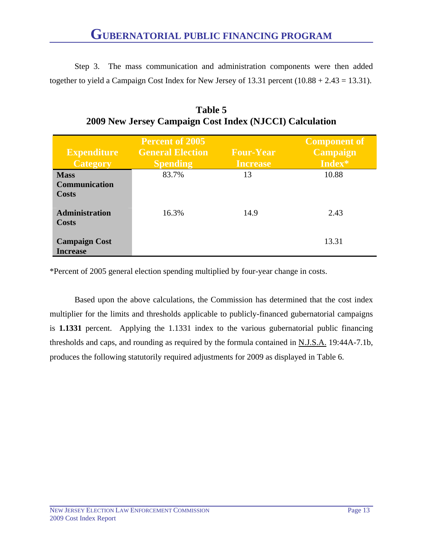Step 3. The mass communication and administration components were then added together to yield a Campaign Cost Index for New Jersey of  $13.31$  percent  $(10.88 + 2.43 = 13.31)$ .

| <b>Expenditure</b><br><b>Category</b>   | <b>Percent of 2005</b><br><b>General Election</b><br><b>Spending</b> | <b>Four-Year</b><br><b>Increase</b> | <b>Component of</b><br><b>Campaign</b><br>Index* |
|-----------------------------------------|----------------------------------------------------------------------|-------------------------------------|--------------------------------------------------|
| <b>Mass</b><br>Communication<br>Costs   | 83.7%                                                                | 13                                  | 10.88                                            |
| <b>Administration</b><br>Costs          | 16.3%                                                                | 14.9                                | 2.43                                             |
| <b>Campaign Cost</b><br><b>Increase</b> |                                                                      |                                     | 13.31                                            |

**Table 5 2009 New Jersey Campaign Cost Index (NJCCI) Calculation** 

\*Percent of 2005 general election spending multiplied by four-year change in costs.

 Based upon the above calculations, the Commission has determined that the cost index multiplier for the limits and thresholds applicable to publicly-financed gubernatorial campaigns is **1.1331** percent. Applying the 1.1331 index to the various gubernatorial public financing thresholds and caps, and rounding as required by the formula contained in N.J.S.A. 19:44A-7.1b, produces the following statutorily required adjustments for 2009 as displayed in Table 6.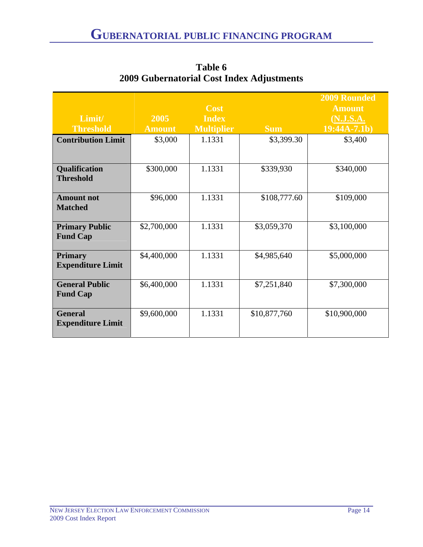|                                            |               |                   |              | <b>2009 Rounded</b> |
|--------------------------------------------|---------------|-------------------|--------------|---------------------|
|                                            |               | <b>Cost</b>       |              | <b>Amount</b>       |
| Limit/                                     | 2005          | <b>Index</b>      |              | (N.J.S.A.           |
| <b>Threshold</b>                           | <b>Amount</b> | <b>Multiplier</b> | <b>Sum</b>   | $19:44A-7.1b)$      |
| <b>Contribution Limit</b>                  | \$3,000       | 1.1331            | \$3,399.30   | \$3,400             |
| Qualification<br><b>Threshold</b>          | \$300,000     | 1.1331            | \$339,930    | \$340,000           |
| <b>Amount not</b><br><b>Matched</b>        | \$96,000      | 1.1331            | \$108,777.60 | \$109,000           |
| <b>Primary Public</b><br><b>Fund Cap</b>   | \$2,700,000   | 1.1331            | \$3,059,370  | \$3,100,000         |
| <b>Primary</b><br><b>Expenditure Limit</b> | \$4,400,000   | 1.1331            | \$4,985,640  | \$5,000,000         |
| <b>General Public</b><br><b>Fund Cap</b>   | \$6,400,000   | 1.1331            | \$7,251,840  | \$7,300,000         |
| <b>General</b><br><b>Expenditure Limit</b> | \$9,600,000   | 1.1331            | \$10,877,760 | \$10,900,000        |

**Table 6 2009 Gubernatorial Cost Index Adjustments**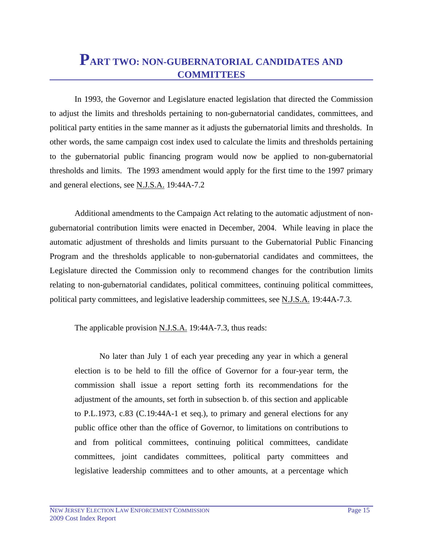## **PART TWO: NON-GUBERNATORIAL CANDIDATES AND COMMITTEES**

 In 1993, the Governor and Legislature enacted legislation that directed the Commission to adjust the limits and thresholds pertaining to non-gubernatorial candidates, committees, and political party entities in the same manner as it adjusts the gubernatorial limits and thresholds. In other words, the same campaign cost index used to calculate the limits and thresholds pertaining to the gubernatorial public financing program would now be applied to non-gubernatorial thresholds and limits. The 1993 amendment would apply for the first time to the 1997 primary and general elections, see N.J.S.A. 19:44A-7.2

 Additional amendments to the Campaign Act relating to the automatic adjustment of nongubernatorial contribution limits were enacted in December, 2004. While leaving in place the automatic adjustment of thresholds and limits pursuant to the Gubernatorial Public Financing Program and the thresholds applicable to non-gubernatorial candidates and committees, the Legislature directed the Commission only to recommend changes for the contribution limits relating to non-gubernatorial candidates, political committees, continuing political committees, political party committees, and legislative leadership committees, see N.J.S.A. 19:44A-7.3.

The applicable provision N.J.S.A. 19:44A-7.3, thus reads:

 No later than July 1 of each year preceding any year in which a general election is to be held to fill the office of Governor for a four-year term, the commission shall issue a report setting forth its recommendations for the adjustment of the amounts, set forth in subsection b. of this section and applicable to P.L.1973, c.83 (C.19:44A-1 et seq.), to primary and general elections for any public office other than the office of Governor, to limitations on contributions to and from political committees, continuing political committees, candidate committees, joint candidates committees, political party committees and legislative leadership committees and to other amounts, at a percentage which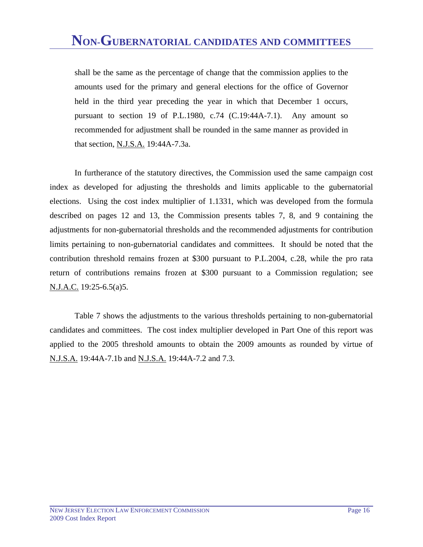shall be the same as the percentage of change that the commission applies to the amounts used for the primary and general elections for the office of Governor held in the third year preceding the year in which that December 1 occurs, pursuant to section 19 of P.L.1980, c.74 (C.19:44A-7.1). Any amount so recommended for adjustment shall be rounded in the same manner as provided in that section, N.J.S.A. 19:44A-7.3a.

 In furtherance of the statutory directives, the Commission used the same campaign cost index as developed for adjusting the thresholds and limits applicable to the gubernatorial elections. Using the cost index multiplier of 1.1331, which was developed from the formula described on pages 12 and 13, the Commission presents tables 7, 8, and 9 containing the adjustments for non-gubernatorial thresholds and the recommended adjustments for contribution limits pertaining to non-gubernatorial candidates and committees. It should be noted that the contribution threshold remains frozen at \$300 pursuant to P.L.2004, c.28, while the pro rata return of contributions remains frozen at \$300 pursuant to a Commission regulation; see N.J.A.C. 19:25-6.5(a)5.

 Table 7 shows the adjustments to the various thresholds pertaining to non-gubernatorial candidates and committees. The cost index multiplier developed in Part One of this report was applied to the 2005 threshold amounts to obtain the 2009 amounts as rounded by virtue of N.J.S.A. 19:44A-7.1b and N.J.S.A. 19:44A-7.2 and 7.3.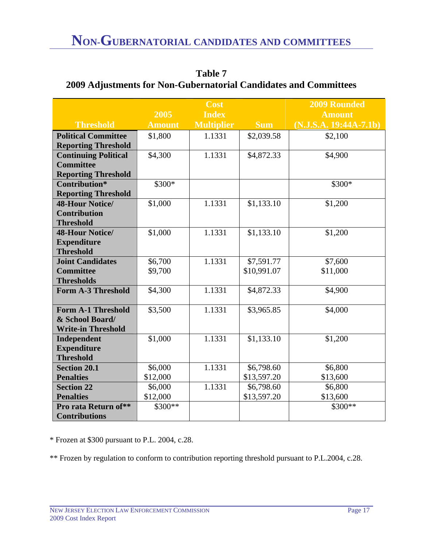|                             |               | <b>Cost</b>       |             | <b>2009 Rounded</b>      |
|-----------------------------|---------------|-------------------|-------------|--------------------------|
|                             | 2005          | <b>Index</b>      |             | <b>Amount</b>            |
| <b>Threshold</b>            | <b>Amount</b> | <b>Multiplier</b> | <b>Sum</b>  | $(N.J.S.A. 19:44A-7.1b)$ |
| <b>Political Committee</b>  | \$1,800       | 1.1331            | \$2,039.58  | \$2,100                  |
| <b>Reporting Threshold</b>  |               |                   |             |                          |
| <b>Continuing Political</b> | \$4,300       | 1.1331            | \$4,872.33  | \$4,900                  |
| <b>Committee</b>            |               |                   |             |                          |
| <b>Reporting Threshold</b>  |               |                   |             |                          |
| Contribution*               | \$300*        |                   |             | \$300*                   |
| <b>Reporting Threshold</b>  |               |                   |             |                          |
| <b>48-Hour Notice/</b>      | \$1,000       | 1.1331            | \$1,133.10  | \$1,200                  |
| <b>Contribution</b>         |               |                   |             |                          |
| <b>Threshold</b>            |               |                   |             |                          |
| <b>48-Hour Notice/</b>      | \$1,000       | 1.1331            | \$1,133.10  | \$1,200                  |
| <b>Expenditure</b>          |               |                   |             |                          |
| <b>Threshold</b>            |               |                   |             |                          |
| <b>Joint Candidates</b>     | \$6,700       | 1.1331            | \$7,591.77  | \$7,600                  |
| <b>Committee</b>            | \$9,700       |                   | \$10,991.07 | \$11,000                 |
| <b>Thresholds</b>           |               |                   |             |                          |
| <b>Form A-3 Threshold</b>   | \$4,300       | 1.1331            | \$4,872.33  | \$4,900                  |
| <b>Form A-1 Threshold</b>   |               | 1.1331            |             |                          |
| & School Board/             | \$3,500       |                   | \$3,965.85  | \$4,000                  |
| <b>Write-in Threshold</b>   |               |                   |             |                          |
| Independent                 | \$1,000       | 1.1331            | \$1,133.10  | \$1,200                  |
| <b>Expenditure</b>          |               |                   |             |                          |
| <b>Threshold</b>            |               |                   |             |                          |
| <b>Section 20.1</b>         | \$6,000       | 1.1331            | \$6,798.60  | \$6,800                  |
| <b>Penalties</b>            | \$12,000      |                   | \$13,597.20 | \$13,600                 |
| <b>Section 22</b>           | \$6,000       | 1.1331            | \$6,798.60  | \$6,800                  |
| <b>Penalties</b>            | \$12,000      |                   | \$13,597.20 | \$13,600                 |
| Pro rata Return of**        | $$300**$      |                   |             | $$300**$                 |
| <b>Contributions</b>        |               |                   |             |                          |

**Table 7 2009 Adjustments for Non-Gubernatorial Candidates and Committees** 

\* Frozen at \$300 pursuant to P.L. 2004, c.28.

\*\* Frozen by regulation to conform to contribution reporting threshold pursuant to P.L.2004, c.28.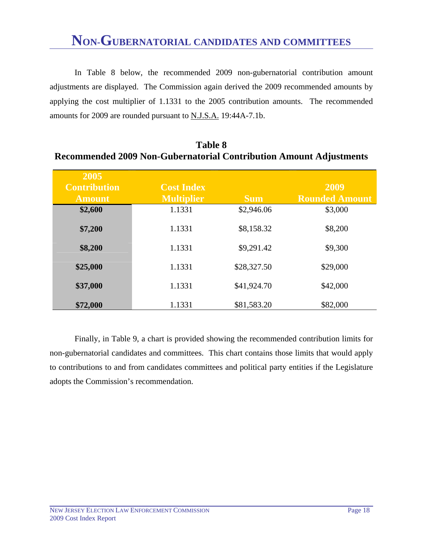In Table 8 below, the recommended 2009 non-gubernatorial contribution amount adjustments are displayed. The Commission again derived the 2009 recommended amounts by applying the cost multiplier of 1.1331 to the 2005 contribution amounts. The recommended amounts for 2009 are rounded pursuant to N.J.S.A. 19:44A-7.1b.

| 2005                |                   |             |                       |
|---------------------|-------------------|-------------|-----------------------|
| <b>Contribution</b> | <b>Cost Index</b> |             | 2009                  |
| <b>Amount</b>       | <b>Multiplier</b> | <b>Sum</b>  | <b>Rounded Amount</b> |
| \$2,600             | 1.1331            | \$2,946.06  | \$3,000               |
| \$7,200             | 1.1331            | \$8,158.32  | \$8,200               |
| \$8,200             | 1.1331            | \$9,291.42  | \$9,300               |
| \$25,000            | 1.1331            | \$28,327.50 | \$29,000              |
| \$37,000            | 1.1331            | \$41,924.70 | \$42,000              |
| \$72,000            | 1.1331            | \$81,583.20 | \$82,000              |

**Table 8 Recommended 2009 Non-Gubernatorial Contribution Amount Adjustments** 

 Finally, in Table 9, a chart is provided showing the recommended contribution limits for non-gubernatorial candidates and committees. This chart contains those limits that would apply to contributions to and from candidates committees and political party entities if the Legislature adopts the Commission's recommendation.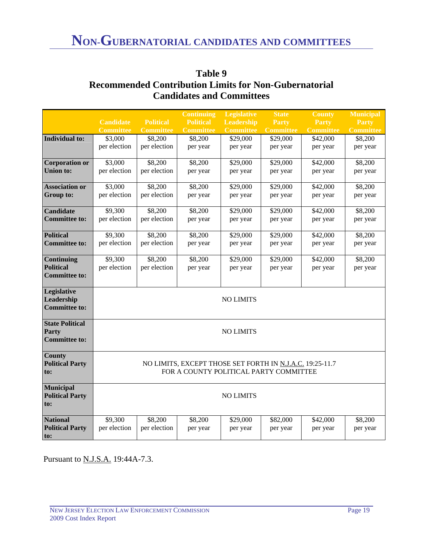|                                    |                  |                  | <b>Continuing</b>                                        | <b>Legislative</b> | <b>State</b>     | <b>County</b>    | <b>Municipal</b> |
|------------------------------------|------------------|------------------|----------------------------------------------------------|--------------------|------------------|------------------|------------------|
|                                    | <b>Candidate</b> | <b>Political</b> | <b>Political</b>                                         | <b>Leadership</b>  | <b>Party</b>     | Party            | Party            |
|                                    | <b>Committee</b> | <b>Committee</b> | <b>Committee</b>                                         | <b>Committee</b>   | <b>Committee</b> | <b>Committee</b> | <b>Committee</b> |
| <b>Individual to:</b>              | \$3,000          | \$8,200          | \$8,200                                                  | \$29,000           | \$29,000         | \$42,000         | \$8,200          |
|                                    | per election     | per election     | per year                                                 | per year           | per year         | per year         | per year         |
|                                    |                  |                  |                                                          |                    |                  |                  |                  |
| <b>Corporation or</b>              | \$3,000          | \$8,200          | \$8,200                                                  | \$29,000           | \$29,000         | \$42,000         | \$8,200          |
| <b>Union to:</b>                   | per election     | per election     | per year                                                 | per year           | per year         | per year         | per year         |
|                                    |                  |                  |                                                          |                    |                  |                  |                  |
| <b>Association or</b>              | \$3,000          | \$8,200          | \$8,200                                                  | \$29,000           | \$29,000         | \$42,000         | \$8,200          |
| Group to:                          | per election     | per election     | per year                                                 | per year           | per year         | per year         | per year         |
|                                    |                  |                  |                                                          |                    |                  |                  |                  |
| <b>Candidate</b>                   | \$9,300          | \$8,200          | \$8,200                                                  | \$29,000           | \$29,000         | \$42,000         | \$8,200          |
| <b>Committee to:</b>               | per election     | per election     | per year                                                 | per year           | per year         | per year         | per year         |
|                                    |                  |                  |                                                          |                    |                  |                  |                  |
| <b>Political</b>                   | \$9,300          | \$8,200          | \$8,200                                                  | \$29,000           | \$29,000         | \$42,000         | \$8,200          |
| <b>Committee to:</b>               | per election     | per election     | per year                                                 | per year           | per year         | per year         | per year         |
|                                    |                  |                  |                                                          |                    |                  |                  |                  |
| Continuing                         | \$9,300          | \$8,200          | \$8,200                                                  | \$29,000           | \$29,000         | \$42,000         | \$8,200          |
| <b>Political</b>                   | per election     | per election     | per year                                                 | per year           | per year         | per year         | per year         |
| <b>Committee to:</b>               |                  |                  |                                                          |                    |                  |                  |                  |
|                                    |                  |                  |                                                          |                    |                  |                  |                  |
| Legislative                        |                  |                  |                                                          |                    |                  |                  |                  |
| Leadership<br><b>Committee to:</b> | <b>NO LIMITS</b> |                  |                                                          |                    |                  |                  |                  |
|                                    |                  |                  |                                                          |                    |                  |                  |                  |
| <b>State Political</b>             |                  |                  |                                                          |                    |                  |                  |                  |
| Party                              |                  |                  |                                                          | <b>NO LIMITS</b>   |                  |                  |                  |
| <b>Committee to:</b>               |                  |                  |                                                          |                    |                  |                  |                  |
|                                    |                  |                  |                                                          |                    |                  |                  |                  |
| <b>County</b>                      |                  |                  |                                                          |                    |                  |                  |                  |
| <b>Political Party</b>             |                  |                  | NO LIMITS, EXCEPT THOSE SET FORTH IN N.J.A.C. 19:25-11.7 |                    |                  |                  |                  |
| to:                                |                  |                  | FOR A COUNTY POLITICAL PARTY COMMITTEE                   |                    |                  |                  |                  |
|                                    |                  |                  |                                                          |                    |                  |                  |                  |
| <b>Municipal</b>                   |                  |                  |                                                          |                    |                  |                  |                  |
| <b>Political Party</b>             |                  |                  |                                                          | <b>NO LIMITS</b>   |                  |                  |                  |
| to:                                |                  |                  |                                                          |                    |                  |                  |                  |
|                                    |                  |                  |                                                          |                    |                  |                  |                  |
| <b>National</b>                    | \$9,300          | \$8,200          | \$8,200                                                  | \$29,000           | \$82,000         | \$42,000         | \$8,200          |
| <b>Political Party</b>             | per election     | per election     | per year                                                 | per year           | per year         | per year         | per year         |
| to:                                |                  |                  |                                                          |                    |                  |                  |                  |

| Table 9                                                      |
|--------------------------------------------------------------|
| <b>Recommended Contribution Limits for Non-Gubernatorial</b> |
| <b>Candidates and Committees</b>                             |

Pursuant to N.J.S.A. 19:44A-7.3.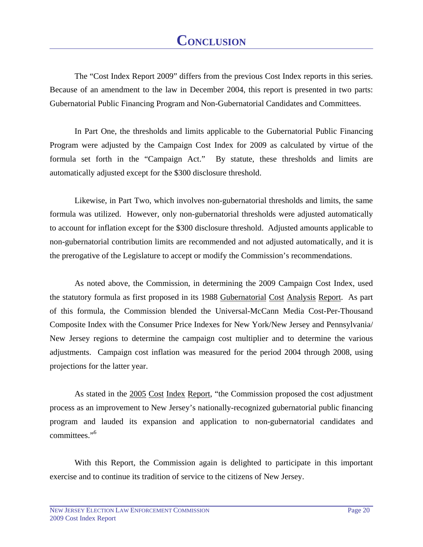The "Cost Index Report 2009" differs from the previous Cost Index reports in this series. Because of an amendment to the law in December 2004, this report is presented in two parts: Gubernatorial Public Financing Program and Non-Gubernatorial Candidates and Committees.

 In Part One, the thresholds and limits applicable to the Gubernatorial Public Financing Program were adjusted by the Campaign Cost Index for 2009 as calculated by virtue of the formula set forth in the "Campaign Act." By statute, these thresholds and limits are automatically adjusted except for the \$300 disclosure threshold.

 Likewise, in Part Two, which involves non-gubernatorial thresholds and limits, the same formula was utilized. However, only non-gubernatorial thresholds were adjusted automatically to account for inflation except for the \$300 disclosure threshold. Adjusted amounts applicable to non-gubernatorial contribution limits are recommended and not adjusted automatically, and it is the prerogative of the Legislature to accept or modify the Commission's recommendations.

 As noted above, the Commission, in determining the 2009 Campaign Cost Index, used the statutory formula as first proposed in its 1988 Gubernatorial Cost Analysis Report. As part of this formula, the Commission blended the Universal-McCann Media Cost-Per-Thousand Composite Index with the Consumer Price Indexes for New York/New Jersey and Pennsylvania/ New Jersey regions to determine the campaign cost multiplier and to determine the various adjustments. Campaign cost inflation was measured for the period 2004 through 2008, using projections for the latter year.

As stated in the 2005 Cost Index Report, "the Commission proposed the cost adjustment process as an improvement to New Jersey's nationally-recognized gubernatorial public financing program and lauded its expansion and application to non-gubernatorial candidates and committees."<sup>6</sup>

 With this Report, the Commission again is delighted to participate in this important exercise and to continue its tradition of service to the citizens of New Jersey.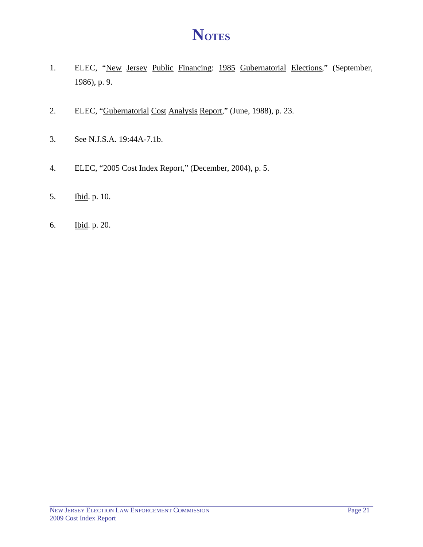- 1. ELEC, "New Jersey Public Financing: 1985 Gubernatorial Elections," (September, 1986), p. 9.
- 2. ELEC, "Gubernatorial Cost Analysis Report," (June, 1988), p. 23.
- 3. See N.J.S.A. 19:44A-7.1b.
- 4. ELEC, "2005 Cost Index Report," (December, 2004), p. 5.
- 5. Ibid. p. 10.
- 6. Ibid. p. 20.